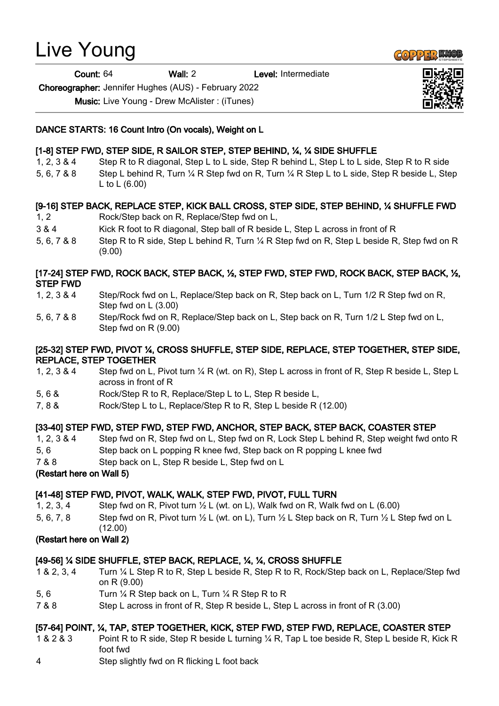# Live Young

Count: 64 Wall: 2 Level: Intermediate

Choreographer: Jennifer Hughes (AUS) - February 2022

Music: Live Young - Drew McAlister : (iTunes)

#### DANCE STARTS: 16 Count Intro (On vocals), Weight on L

# [1-8] STEP FWD, STEP SIDE, R SAILOR STEP, STEP BEHIND, ¼, ¼ SIDE SHUFFLE

- 1, 2, 3 & 4 Step R to R diagonal, Step L to L side, Step R behind L, Step L to L side, Step R to R side
- 5, 6, 7 & 8 Step L behind R, Turn ¼ R Step fwd on R, Turn ¼ R Step L to L side, Step R beside L, Step L to L (6.00)

# [9-16] STEP BACK, REPLACE STEP, KICK BALL CROSS, STEP SIDE, STEP BEHIND, ¼ SHUFFLE FWD

- 1, 2 Rock/Step back on R, Replace/Step fwd on L,
- 3 & 4 Kick R foot to R diagonal, Step ball of R beside L, Step L across in front of R
- 5, 6, 7 & 8 Step R to R side, Step L behind R, Turn 1/4 R Step fwd on R, Step L beside R, Step fwd on R (9.00)

# [17-24] STEP FWD, ROCK BACK, STEP BACK, ½, STEP FWD, STEP FWD, ROCK BACK, STEP BACK, ½, STEP FWD

- 1, 2, 3 & 4 Step/Rock fwd on L, Replace/Step back on R, Step back on L, Turn 1/2 R Step fwd on R, Step fwd on L (3.00)
- 5, 6, 7 & 8 Step/Rock fwd on R, Replace/Step back on L, Step back on R, Turn 1/2 L Step fwd on L, Step fwd on R (9.00)

# [25-32] STEP FWD, PIVOT ¼, CROSS SHUFFLE, STEP SIDE, REPLACE, STEP TOGETHER, STEP SIDE, REPLACE, STEP TOGETHER

- 1, 2, 3 & 4 Step fwd on L, Pivot turn ¼ R (wt. on R), Step L across in front of R, Step R beside L, Step L across in front of R
- 5, 6 & Rock/Step R to R, Replace/Step L to L, Step R beside L,
- 7, 8 & Rock/Step L to L, Replace/Step R to R, Step L beside R (12.00)

# [33-40] STEP FWD, STEP FWD, STEP FWD, ANCHOR, STEP BACK, STEP BACK, COASTER STEP

- 1, 2, 3 & 4 Step fwd on R, Step fwd on L, Step fwd on R, Lock Step L behind R, Step weight fwd onto R
- 5, 6 Step back on L popping R knee fwd, Step back on R popping L knee fwd
- 7 & 8 Step back on L, Step R beside L, Step fwd on L

#### (Restart here on Wall 5)

# [41-48] STEP FWD, PIVOT, WALK, WALK, STEP FWD, PIVOT, FULL TURN

- 1, 2, 3, 4 Step fwd on R, Pivot turn  $\frac{1}{2}$  L (wt. on L), Walk fwd on R, Walk fwd on L (6.00)
- 5, 6, 7, 8 Step fwd on R, Pivot turn ½ L (wt. on L), Turn ½ L Step back on R, Turn ½ L Step fwd on L (12.00)

# (Restart here on Wall 2)

# [49-56] ¼ SIDE SHUFFLE, STEP BACK, REPLACE, ¼, ¼, CROSS SHUFFLE

- 1 & 2, 3, 4 Turn ¼ L Step R to R, Step L beside R, Step R to R, Rock/Step back on L, Replace/Step fwd on R (9.00)
- 5, 6 Turn ¼ R Step back on L, Turn ¼ R Step R to R
- 7 & 8 Step L across in front of R, Step R beside L, Step L across in front of R (3.00)

# [57-64] POINT, ¼, TAP, STEP TOGETHER, KICK, STEP FWD, STEP FWD, REPLACE, COASTER STEP

- 1 & 2 & 3 Point R to R side, Step R beside L turning ¼ R, Tap L toe beside R, Step L beside R, Kick R foot fwd
- 4 Step slightly fwd on R flicking L foot back